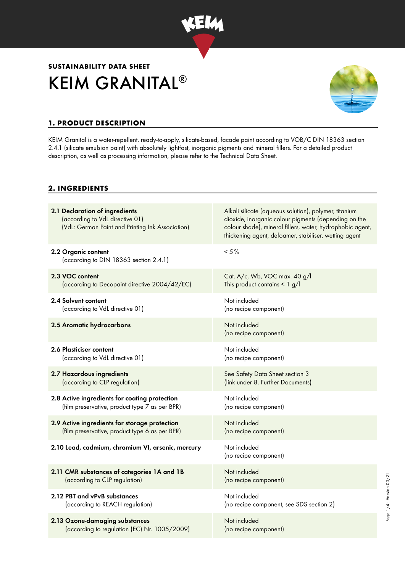

# KEIM GRANITAL® **SUSTAINABILITY DATA SHEET**



Page 1/4 · Version 03/21 Page 1/4 ∙ Version 03/21

### **1. PRODUCT DESCRIPTION**

KEIM Granital is a water-repellent, ready-to-apply, silicate-based, facade paint according to VOB/C DIN 18363 section 2.4.1 (silicate emulsion paint) with absolutely lightfast, inorganic pigments and mineral fillers. For a detailed product description, as well as processing information, please refer to the Technical Data Sheet.

#### **2. INGREDIENTS**

| 2.1 Declaration of ingredients<br>(according to VdL directive 01)<br>(VdL: German Paint and Printing Ink Association) | Alkali silicate (aqueous solution), polymer, titanium<br>dioxide, inorganic colour pigments (depending on the<br>colour shade), mineral fillers, water, hydrophobic agent,<br>thickening agent, defoamer, stabiliser, wetting agent |
|-----------------------------------------------------------------------------------------------------------------------|-------------------------------------------------------------------------------------------------------------------------------------------------------------------------------------------------------------------------------------|
| 2.2 Organic content<br>(according to DIN 18363 section 2.4.1)                                                         | $< 5 \%$                                                                                                                                                                                                                            |
| 2.3 VOC content                                                                                                       | Cat. A/c, Wb, VOC max. 40 g/l                                                                                                                                                                                                       |
| (according to Decopaint directive 2004/42/EC)                                                                         | This product contains $\leq 1$ g/l                                                                                                                                                                                                  |
| 2.4 Solvent content                                                                                                   | Not included                                                                                                                                                                                                                        |
| (according to VdL directive 01)                                                                                       | (no recipe component)                                                                                                                                                                                                               |
| 2.5 Aromatic hydrocarbons                                                                                             | Not included<br>(no recipe component)                                                                                                                                                                                               |
| 2.6 Plasticiser content                                                                                               | Not included                                                                                                                                                                                                                        |
| (according to VdL directive 01)                                                                                       | (no recipe component)                                                                                                                                                                                                               |
| 2.7 Hazardous ingredients                                                                                             | See Safety Data Sheet section 3                                                                                                                                                                                                     |
| (according to CLP regulation)                                                                                         | (link under 8. Further Documents)                                                                                                                                                                                                   |
| 2.8 Active ingredients for coating protection                                                                         | Not included                                                                                                                                                                                                                        |
| (film preservative, product type 7 as per BPR)                                                                        | (no recipe component)                                                                                                                                                                                                               |
| 2.9 Active ingredients for storage protection                                                                         | Not included                                                                                                                                                                                                                        |
| (film preservative, product type 6 as per BPR)                                                                        | (no recipe component)                                                                                                                                                                                                               |
| 2.10 Lead, cadmium, chromium VI, arsenic, mercury                                                                     | Not included<br>(no recipe component)                                                                                                                                                                                               |
| 2.11 CMR substances of categories 1A and 1B                                                                           | Not included                                                                                                                                                                                                                        |
| (according to CLP regulation)                                                                                         | (no recipe component)                                                                                                                                                                                                               |
| 2.12 PBT and vPvB substances                                                                                          | Not included                                                                                                                                                                                                                        |
| (according to REACH regulation)                                                                                       | (no recipe component, see SDS section 2)                                                                                                                                                                                            |
| 2.13 Ozone-damaging substances                                                                                        | Not included                                                                                                                                                                                                                        |
| (according to regulation (EC) Nr. 1005/2009)                                                                          | (no recipe component)                                                                                                                                                                                                               |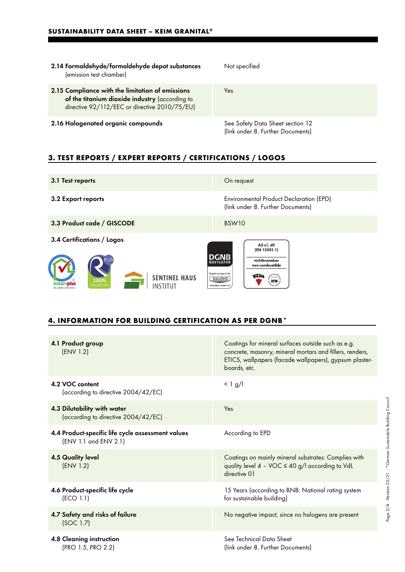| 2.14 Formaldehyde/formaldehyde depot substances<br>(emission test chamber)                                                                          | Not specified                                                         |
|-----------------------------------------------------------------------------------------------------------------------------------------------------|-----------------------------------------------------------------------|
| 2.15 Compliance with the limitation of emissions<br>of the titanium dioxide industry (according to<br>directive 92/112/EEC or directive 2010/75/EU) | Yes                                                                   |
| 2.16 Halogenated organic compounds                                                                                                                  | See Safety Data Sheet section 12<br>(link under 8. Further Documents) |

## **3. TEST REPORTS / EXPERT REPORTS / CERTIFICATIONS / LOGOS**

| 3.1 Test reports                                                                                                        | On request                                                                                                                                                                      |
|-------------------------------------------------------------------------------------------------------------------------|---------------------------------------------------------------------------------------------------------------------------------------------------------------------------------|
| 3.2 Export reports                                                                                                      | <b>Environmental Product Declaration (EPD)</b><br>(link under 8. Further Documents)                                                                                             |
| 3.3 Product code / GISCODE                                                                                              | BSW <sub>10</sub>                                                                                                                                                               |
| 3.4 Certifications / Logos<br><b>SENTINEL HAUS</b><br>100%<br>natureplus<br>INSTITUT<br>Okostrom<br>No. 0604-1701-035-1 | A2 s1, d0<br>(EN 13501-1)<br><b>DGNB</b><br>nichtbrennbar<br><b>NAVIGATOR</b><br>non combustible<br>Registrierungs-Code<br>KEM<br>8WUDHD<br><b>HFN</b><br>www.dgnb-navigator.de |

#### **4. INFORMATION FOR BUILDING CERTIFICATION AS PER DGNB\***

| 4.1 Product group<br>(ENV 1.2)                                             | Coatings for mineral surfaces outside such as e.g.<br>concrete, masonry, mineral mortars and fillers, renders,<br>ETICS, wallpapers (facade wallpapers), gypsum plaster-<br>boards, etc. |
|----------------------------------------------------------------------------|------------------------------------------------------------------------------------------------------------------------------------------------------------------------------------------|
| 4.2 VOC content<br>(according to directive 2004/42/EC)                     | < 1 g/l                                                                                                                                                                                  |
| 4.3 Dilutability with water<br>(according to directive 2004/42/EC)         | Yes                                                                                                                                                                                      |
| 4.4 Product-specific life cycle assessment values<br>(ENV 1.1 and ENV 2.1) | According to EPD                                                                                                                                                                         |
| <b>4.5 Quality level</b><br>(ENV 1.2)                                      | Coatings on mainly mineral substrates: Complies with<br>quality level $4 - \text{VOC} \le 40 \text{ g/l}$ according to VdL<br>directive 01                                               |
| 4.6 Product-specific life cycle<br>(ECO 1.1)                               | 15 Years (according to BNB: National rating system<br>for sustainable building)                                                                                                          |
| 4.7 Safety and risks of failure<br>(SOC 1.7)                               | No negative impact, since no halogens are present                                                                                                                                        |
| 4.8 Cleaning instruction<br>(PRO 1.5, PRO 2.2)                             | See Technical Data Sheet<br>(link under 8. Further Documents)                                                                                                                            |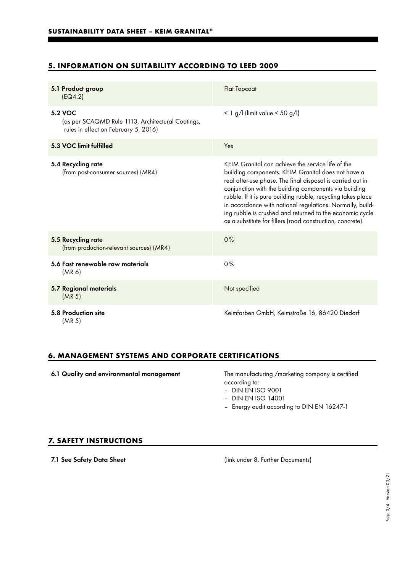# **5. INFORMATION ON SUITABILITY ACCORDING TO LEED 2009**

| 5.1 Product group<br>[EQ4.2]                                                                         | <b>Flat Topcoat</b>                                                                                                                                                                                                                                                                                                                                                                                                                                                                   |
|------------------------------------------------------------------------------------------------------|---------------------------------------------------------------------------------------------------------------------------------------------------------------------------------------------------------------------------------------------------------------------------------------------------------------------------------------------------------------------------------------------------------------------------------------------------------------------------------------|
| 5.2 VOC<br>(as per SCAQMD Rule 1113, Architectural Coatings,<br>rules in effect on February 5, 2016) | $< 1$ g/l (limit value $< 50$ g/l)                                                                                                                                                                                                                                                                                                                                                                                                                                                    |
| 5.3 VOC limit fulfilled                                                                              | Yes                                                                                                                                                                                                                                                                                                                                                                                                                                                                                   |
| 5.4 Recycling rate<br>(from post-consumer sources) (MR4)                                             | KEIM Granital can achieve the service life of the<br>building components. KEIM Granital does not have a<br>real after-use phase. The final disposal is carried out in<br>conjunction with the building components via building<br>rubble. If it is pure building rubble, recycling takes place<br>in accordance with national regulations. Normally, build-<br>ing rubble is crushed and returned to the economic cycle<br>as a substitute for fillers (road construction, concrete). |
| 5.5 Recycling rate<br>(from production-relevant sources) (MR4)                                       | 0%                                                                                                                                                                                                                                                                                                                                                                                                                                                                                    |
| 5.6 Fast renewable raw materials<br>(MR 6)                                                           | 0%                                                                                                                                                                                                                                                                                                                                                                                                                                                                                    |
| <b>5.7 Regional materials</b><br>(MR <sub>5</sub> )                                                  | Not specified                                                                                                                                                                                                                                                                                                                                                                                                                                                                         |
| 5.8 Production site<br>(MR 5)                                                                        | Keimfarben GmbH, Keimstraße 16, 86420 Diedorf                                                                                                                                                                                                                                                                                                                                                                                                                                         |

#### **6. MANAGEMENT SYSTEMS AND CORPORATE CERTIFICATIONS**

6.1 Quality and environmental management The manufacturing /marketing company is certified

according to:

– DIN EN ISO 9001

- DIN EN ISO 14001
- Energy audit according to DIN EN 16247-1

#### **7. SAFETY INSTRUCTIONS**

7.1 See Safety Data Sheet (link under 8. Further Documents)